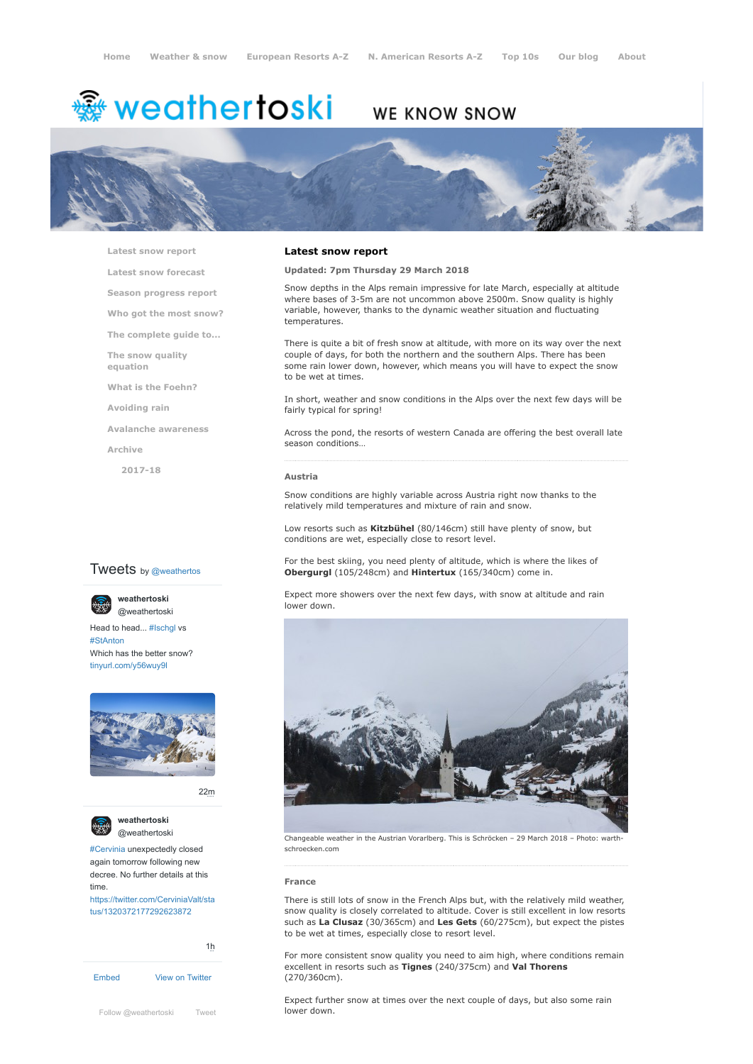# <del>鑾</del> weathertoski

# WE KNOW SNOW



**[Latest snow report](https://www.weathertoski.co.uk/weather-snow/latest-snow-report/)**

**[Latest snow forecast](https://www.weathertoski.co.uk/weather-snow/latest-snow-forecast/)**

**[Season progress report](https://www.weathertoski.co.uk/weather-snow/season-progress-report/)**

**[Who got the most snow?](https://www.weathertoski.co.uk/weather-snow/who-got-the-most-snow/)**

**[The complete guide to...](https://www.weathertoski.co.uk/weather-snow/the-complete-guide-to/)**

**[The snow quality](https://www.weathertoski.co.uk/weather-snow/the-snow-quality-equation/) equation**

**[What is the Foehn?](https://www.weathertoski.co.uk/weather-snow/what-is-the-foehn/)**

**[Avoiding rain](https://www.weathertoski.co.uk/weather-snow/avoiding-rain/)**

**[Avalanche awareness](https://www.weathertoski.co.uk/weather-snow/avalanche-awareness/)**

**[Archive](https://www.weathertoski.co.uk/weather-snow/archive/)**

**[2017-18](https://www.weathertoski.co.uk/weather-snow/archive/2017-18/)**

# **Tweets** by @weathertos

**weathertoski**

[@weathertoski](https://twitter.com/weathertoski)

Head to head... [#Ischgl](https://twitter.com/hashtag/Ischgl?src=hash) vs [#StAnton](https://twitter.com/hashtag/StAnton?src=hash) Which has the better snow? [tinyurl.com/y56wuy9l](https://t.co/AeKkyB0N9S)



[22m](https://twitter.com/weathertoski/status/1320387692862050304)



**weathertoski**

[#Cervinia](https://twitter.com/hashtag/Cervinia?src=hash) unexpectedly closed again tomorrow following new decree. No further details at this time. [https://twitter.com/CerviniaValt/sta](https://twitter.com/CerviniaValt/status/1320372177292623872)

tus/1320372177292623872

[Embed](https://publish.twitter.com/?url=https%3A%2F%2Ftwitter.com%2Fweathertoski) [View on Twitter](https://twitter.com/weathertoski) [1h](https://twitter.com/weathertoski/status/1320376647305093126) [Follow @weathertoski](https://twitter.com/intent/follow?original_referer=https%3A%2F%2Fwww.weathertoski.co.uk%2F&ref_src=twsrc%5Etfw®ion=follow_link&screen_name=weathertoski&tw_p=followbutton) [Tweet](https://twitter.com/intent/tweet?original_referer=https%3A%2F%2Fwww.weathertoski.co.uk%2F&ref_src=twsrc%5Etfw&text=Weather%20to%20ski%20-%20Snow%20report%20-%2029%20March%202018&tw_p=tweetbutton&url=https%3A%2F%2Fwww.weathertoski.co.uk%2Fweather-snow%2Farchive%2Fsnow-report-29-march-2018%2F) **lower down.** 

## **Latest snow report**

# **Updated: 7pm Thursday 29 March 2018**

Snow depths in the Alps remain impressive for late March, especially at altitude where bases of 3-5m are not uncommon above 2500m. Snow quality is highly variable, however, thanks to the dynamic weather situation and fluctuating temperatures.

There is quite a bit of fresh snow at altitude, with more on its way over the next couple of days, for both the northern and the southern Alps. There has been some rain lower down, however, which means you will have to expect the snow to be wet at times.

In short, weather and snow conditions in the Alps over the next few days will be fairly typical for spring!

Across the pond, the resorts of western Canada are offering the best overall late season conditions…

#### **Austria**

Snow conditions are highly variable across Austria right now thanks to the relatively mild temperatures and mixture of rain and snow.

Low resorts such as **Kitzbühel** (80/146cm) still have plenty of snow, but conditions are wet, especially close to resort level.

For the best skiing, you need plenty of altitude, which is where the likes of **Obergurgl** (105/248cm) and **Hintertux** (165/340cm) come in.

Expect more showers over the next few days, with snow at altitude and rain lower down.



[@weathertoski](https://twitter.com/weathertoski) Changeable weather in the Austrian Vorarlberg. This is Schröcken – <sup>29</sup> March <sup>2018</sup> – Photo: warthschroecken.com

#### **France**

There is still lots of snow in the French Alps but, with the relatively mild weather, snow quality is closely correlated to altitude. Cover is still excellent in low resorts such as **La Clusaz** (30/365cm) and **Les Gets** (60/275cm), but expect the pistes to be wet at times, especially close to resort level.

For more consistent snow quality you need to aim high, where conditions remain excellent in resorts such as **Tignes** (240/375cm) and **Val Thorens** (270/360cm).

Expect further snow at times over the next couple of days, but also some rain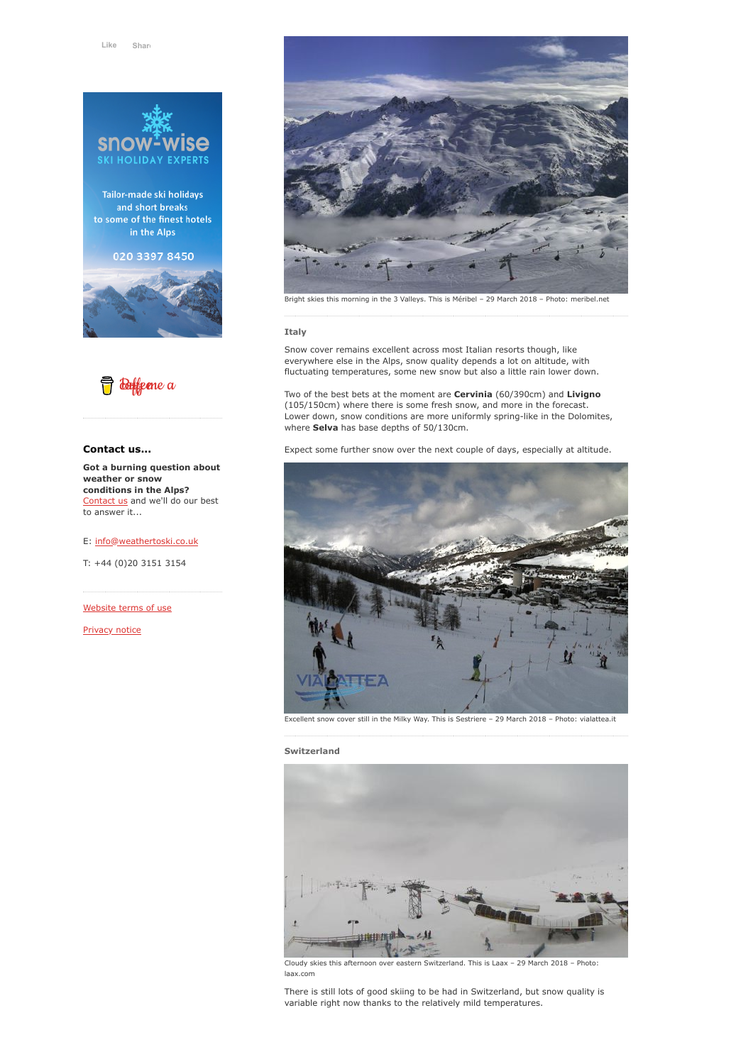

Tailor-made ski holidays and short breaks to some of the finest hotels in the Alps

020 3397 8450





# **Contact us...**

**Got a burning question about weather or snow conditions in the Alps?** [Contact us](https://www.weathertoski.co.uk/about-1/contact-us/) and we'll do our best to answer it...

E: [info@weathertoski.co.uk](mailto:fraser@weathertoski.co.uk)

T: +44 (0)20 3151 3154

[Website terms of use](https://www.weathertoski.co.uk/about-1/website-terms-of-use/)

[Privacy notice](https://www.weathertoski.co.uk/about-1/privacy-notice/)



Bright skies this morning in the 3 Valleys. This is Méribel – 29 March 2018 – Photo: meribel.net

### **Italy**

Snow cover remains excellent across most Italian resorts though, like everywhere else in the Alps, snow quality depends a lot on altitude, with fluctuating temperatures, some new snow but also a little rain lower down.

Two of the best bets at the moment are **Cervinia** (60/390cm) and **Livigno** (105/150cm) where there is some fresh snow, and more in the forecast. Lower down, snow conditions are more uniformly spring-like in the Dolomites, where **Selva** has base depths of 50/130cm.

Expect some further snow over the next couple of days, especially at altitude.



Excellent snow cover still in the Milky Way. This is Sestriere – 29 March 2018 – Photo: vialattea.it

# **Switzerland**



Cloudy skies this afternoon over eastern Switzerland. This is Laax – 29 March 2018 – Photo: laax.com

There is still lots of good skiing to be had in Switzerland, but snow quality is variable right now thanks to the relatively mild temperatures.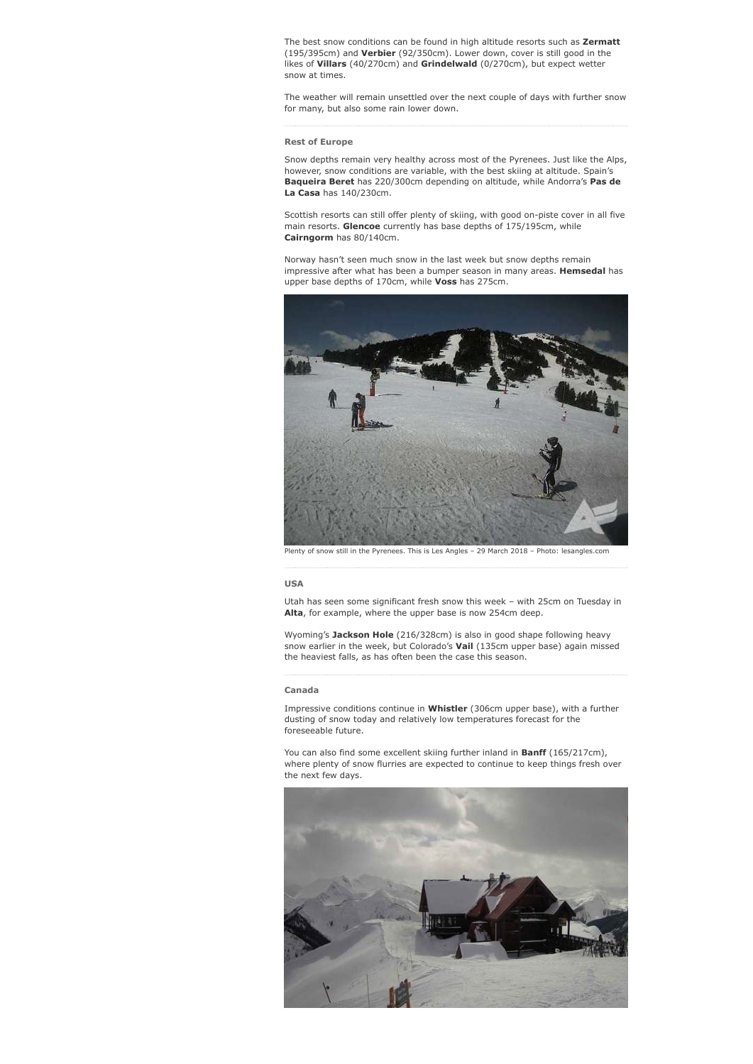The best snow conditions can be found in high altitude resorts such as **Zermatt** (195/395cm) and **Verbier** (92/350cm). Lower down, cover is still good in the likes of **Villars** (40/270cm) and **Grindelwald** (0/270cm), but expect wetter snow at times.

The weather will remain unsettled over the next couple of days with further snow for many, but also some rain lower down.

### **Rest of Europe**

Snow depths remain very healthy across most of the Pyrenees. Just like the Alps, however, snow conditions are variable, with the best skiing at altitude. Spain's **Baqueira Beret** has 220/300cm depending on altitude, while Andorra's **Pas de La Casa** has 140/230cm.

Scottish resorts can still offer plenty of skiing, with good on-piste cover in all five main resorts. **Glencoe** currently has base depths of 175/195cm, while **Cairngorm** has 80/140cm.

Norway hasn't seen much snow in the last week but snow depths remain impressive after what has been a bumper season in many areas. **Hemsedal** has upper base depths of 170cm, while **Voss** has 275cm.



Plenty of snow still in the Pyrenees. This is Les Angles – 29 March 2018 – Photo: lesangles.com

#### **USA**

Utah has seen some significant fresh snow this week – with 25cm on Tuesday in **Alta**, for example, where the upper base is now 254cm deep.

Wyoming's **Jackson Hole** (216/328cm) is also in good shape following heavy snow earlier in the week, but Colorado's **Vail** (135cm upper base) again missed the heaviest falls, as has often been the case this season.

#### **Canada**

Impressive conditions continue in **Whistler** (306cm upper base), with a further dusting of snow today and relatively low temperatures forecast for the foreseeable future.

You can also find some excellent skiing further inland in **Banff** (165/217cm), where plenty of snow flurries are expected to continue to keep things fresh over the next few days.